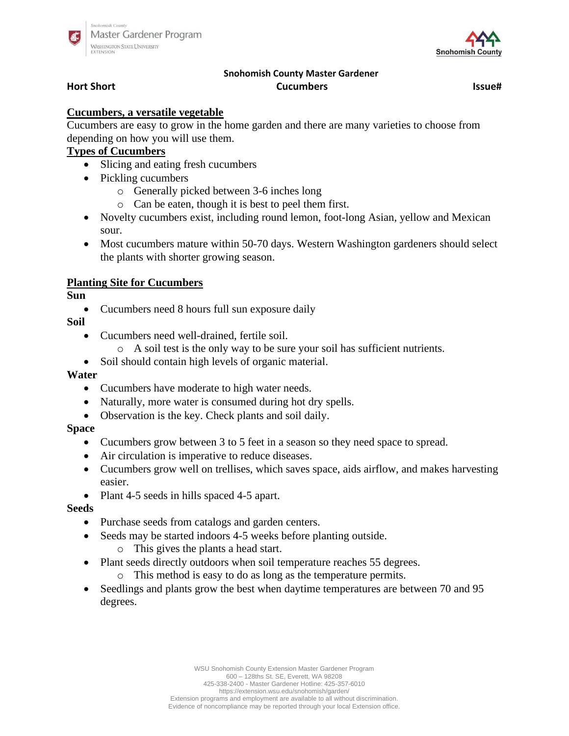



# **Snohomish County Master Gardener Hort Short Cucumbers Issue#**

### **Cucumbers, a versatile vegetable**

Cucumbers are easy to grow in the home garden and there are many varieties to choose from depending on how you will use them.

## **Types of Cucumbers**

- Slicing and eating fresh cucumbers
- Pickling cucumbers
	- o Generally picked between 3-6 inches long
	- o Can be eaten, though it is best to peel them first.
- Novelty cucumbers exist, including round lemon, foot-long Asian, yellow and Mexican sour.
- Most cucumbers mature within 50-70 days. Western Washington gardeners should select the plants with shorter growing season.

### **Planting Site for Cucumbers**

**Sun** 

• Cucumbers need 8 hours full sun exposure daily

**Soil**

- Cucumbers need well-drained, fertile soil.
	- o A soil test is the only way to be sure your soil has sufficient nutrients.
- Soil should contain high levels of organic material.

#### **Water**

- Cucumbers have moderate to high water needs.
- Naturally, more water is consumed during hot dry spells.
- Observation is the key. Check plants and soil daily.

#### **Space**

- Cucumbers grow between 3 to 5 feet in a season so they need space to spread.
- Air circulation is imperative to reduce diseases.
- Cucumbers grow well on trellises, which saves space, aids airflow, and makes harvesting easier.
- Plant 4-5 seeds in hills spaced 4-5 apart.

#### **Seeds**

- Purchase seeds from catalogs and garden centers.
- Seeds may be started indoors 4-5 weeks before planting outside. o This gives the plants a head start.
- Plant seeds directly outdoors when soil temperature reaches 55 degrees.
	- o This method is easy to do as long as the temperature permits.
- Seedlings and plants grow the best when daytime temperatures are between 70 and 95 degrees.